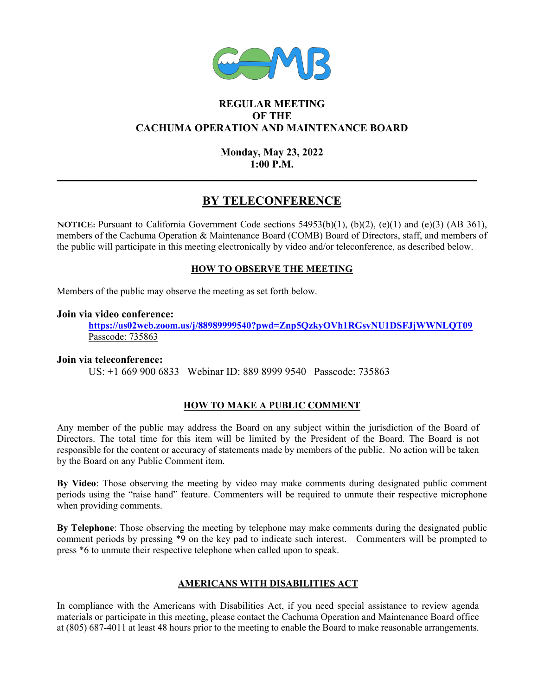

### **REGULAR MEETING OF THE CACHUMA OPERATION AND MAINTENANCE BOARD**

### **Monday, May 23, 2022 1:00 P.M.**

**\_\_\_\_\_\_\_\_\_\_\_\_\_\_\_\_\_\_\_\_\_\_\_\_\_\_\_\_\_\_\_\_\_\_\_\_\_\_\_\_\_\_\_\_\_\_\_\_\_\_\_\_\_\_\_\_\_\_\_\_\_\_\_\_\_\_\_\_\_\_\_\_\_\_\_\_\_\_\_\_\_\_\_\_\_\_\_** 

# **BY TELECONFERENCE**

**NOTICE:** Pursuant to California Government Code sections 54953(b)(1), (b)(2), (e)(1) and (e)(3) (AB 361), members of the Cachuma Operation & Maintenance Board (COMB) Board of Directors, staff, and members of the public will participate in this meeting electronically by video and/or teleconference, as described below.

#### **HOW TO OBSERVE THE MEETING**

Members of the public may observe the meeting as set forth below.

#### **Join via video conference:**

**https://us02web.zoom.us/j/88989999540?pwd=Znp5QzkyOVh1RGsvNU1DSFJjWWNLQT09** Passcode: 735863

#### **Join via teleconference:**

US: +1 669 900 6833 Webinar ID: 889 8999 9540 Passcode: 735863

### **HOW TO MAKE A PUBLIC COMMENT**

Any member of the public may address the Board on any subject within the jurisdiction of the Board of Directors. The total time for this item will be limited by the President of the Board. The Board is not responsible for the content or accuracy of statements made by members of the public. No action will be taken by the Board on any Public Comment item.

**By Video**: Those observing the meeting by video may make comments during designated public comment periods using the "raise hand" feature. Commenters will be required to unmute their respective microphone when providing comments.

**By Telephone**: Those observing the meeting by telephone may make comments during the designated public comment periods by pressing \*9 on the key pad to indicate such interest. Commenters will be prompted to press \*6 to unmute their respective telephone when called upon to speak.

#### **AMERICANS WITH DISABILITIES ACT**

In compliance with the Americans with Disabilities Act, if you need special assistance to review agenda materials or participate in this meeting, please contact the Cachuma Operation and Maintenance Board office at (805) 687-4011 at least 48 hours prior to the meeting to enable the Board to make reasonable arrangements.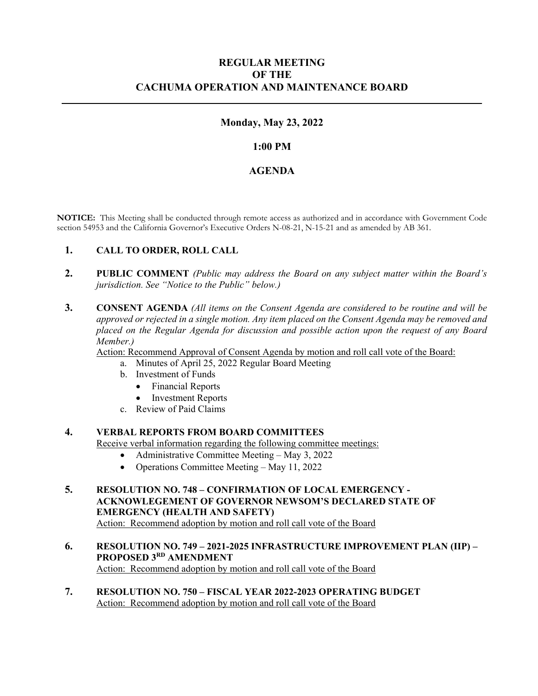#### **REGULAR MEETING OF THE CACHUMA OPERATION AND MAINTENANCE BOARD**

#### **Monday, May 23, 2022**

**\_\_\_\_\_\_\_\_\_\_\_\_\_\_\_\_\_\_\_\_\_\_\_\_\_\_\_\_\_\_\_\_\_\_\_\_\_\_\_\_\_\_\_\_\_\_\_\_\_\_\_\_\_\_\_\_\_\_\_\_\_\_\_\_\_\_\_\_\_\_\_\_\_\_\_\_\_\_\_\_\_\_\_\_\_\_\_** 

#### **1:00 PM**

#### **AGENDA**

**NOTICE:** This Meeting shall be conducted through remote access as authorized and in accordance with Government Code section 54953 and the California Governor's Executive Orders N-08-21, N-15-21 and as amended by AB 361.

#### **1. CALL TO ORDER, ROLL CALL**

- **2. PUBLIC COMMENT** *(Public may address the Board on any subject matter within the Board's jurisdiction. See "Notice to the Public" below.)*
- **3. CONSENT AGENDA** *(All items on the Consent Agenda are considered to be routine and will be approved or rejected in a single motion. Any item placed on the Consent Agenda may be removed and placed on the Regular Agenda for discussion and possible action upon the request of any Board Member.)*

Action: Recommend Approval of Consent Agenda by motion and roll call vote of the Board:

- a. Minutes of April 25, 2022 Regular Board Meeting
- b. Investment of Funds
	- Financial Reports
	- Investment Reports
- c. Review of Paid Claims

#### **4. VERBAL REPORTS FROM BOARD COMMITTEES**

Receive verbal information regarding the following committee meetings:

- Administrative Committee Meeting May 3, 2022
- Operations Committee Meeting May 11, 2022
- **5. RESOLUTION NO. 748 CONFIRMATION OF LOCAL EMERGENCY ACKNOWLEGEMENT OF GOVERNOR NEWSOM'S DECLARED STATE OF EMERGENCY (HEALTH AND SAFETY)** Action: Recommend adoption by motion and roll call vote of the Board
- **6. RESOLUTION NO. 749 2021-2025 INFRASTRUCTURE IMPROVEMENT PLAN (IIP) PROPOSED 3RD AMENDMENT**  Action: Recommend adoption by motion and roll call vote of the Board
- **7. RESOLUTION NO. 750 FISCAL YEAR 2022-2023 OPERATING BUDGET**  Action: Recommend adoption by motion and roll call vote of the Board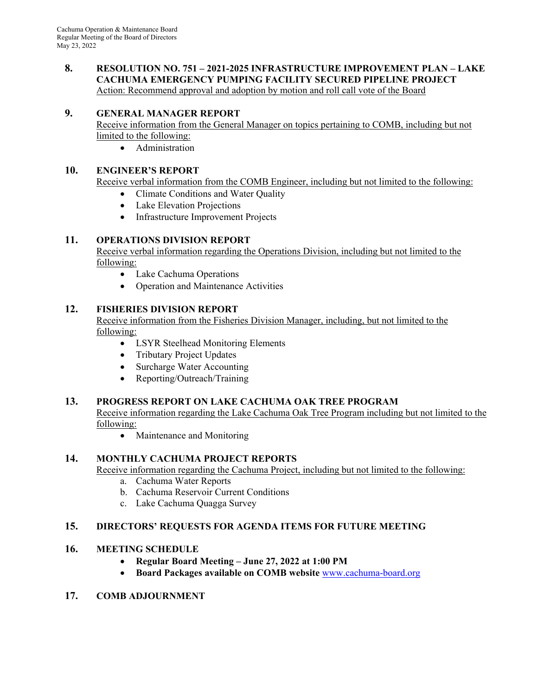#### **8. RESOLUTION NO. 751 – 2021-2025 INFRASTRUCTURE IMPROVEMENT PLAN – LAKE CACHUMA EMERGENCY PUMPING FACILITY SECURED PIPELINE PROJECT**  Action: Recommend approval and adoption by motion and roll call vote of the Board

# **9. GENERAL MANAGER REPORT**

Receive information from the General Manager on topics pertaining to COMB, including but not limited to the following:

Administration

## **10. ENGINEER'S REPORT**

Receive verbal information from the COMB Engineer, including but not limited to the following:

- Climate Conditions and Water Quality
- Lake Elevation Projections
- Infrastructure Improvement Projects

## **11. OPERATIONS DIVISION REPORT**

Receive verbal information regarding the Operations Division, including but not limited to the following:

- Lake Cachuma Operations
- Operation and Maintenance Activities

# **12. FISHERIES DIVISION REPORT**

Receive information from the Fisheries Division Manager, including, but not limited to the following:

- LSYR Steelhead Monitoring Elements
- Tributary Project Updates
- Surcharge Water Accounting
- Reporting/Outreach/Training

## **13. PROGRESS REPORT ON LAKE CACHUMA OAK TREE PROGRAM**

Receive information regarding the Lake Cachuma Oak Tree Program including but not limited to the following:

• Maintenance and Monitoring

## **14. MONTHLY CACHUMA PROJECT REPORTS**

Receive information regarding the Cachuma Project, including but not limited to the following:

- a. Cachuma Water Reports
- b. Cachuma Reservoir Current Conditions
- c. Lake Cachuma Quagga Survey

## **15. DIRECTORS' REQUESTS FOR AGENDA ITEMS FOR FUTURE MEETING**

## **16. MEETING SCHEDULE**

- **Regular Board Meeting June 27, 2022 at 1:00 PM**
- **Board Packages available on COMB website** www.cachuma-board.org
- **17. COMB ADJOURNMENT**